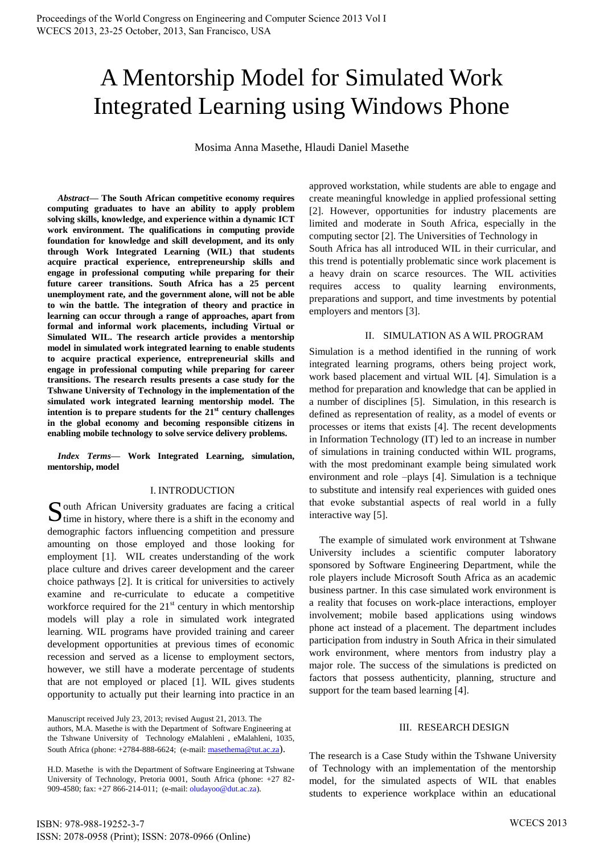# A Mentorship Model for Simulated Work Integrated Learning using Windows Phone

Mosima Anna Masethe, Hlaudi Daniel Masethe

*Abstract***— The South African competitive economy requires computing graduates to have an ability to apply problem solving skills, knowledge, and experience within a dynamic ICT work environment. The qualifications in computing provide foundation for knowledge and skill development, and its only through Work Integrated Learning (WIL) that students acquire practical experience, entrepreneurship skills and engage in professional computing while preparing for their future career transitions. South Africa has a 25 percent unemployment rate, and the government alone, will not be able to win the battle. The integration of theory and practice in learning can occur through a range of approaches, apart from formal and informal work placements, including Virtual or Simulated WIL. The research article provides a mentorship model in simulated work integrated learning to enable students to acquire practical experience, entrepreneurial skills and engage in professional computing while preparing for career transitions. The research results presents a case study for the Tshwane University of Technology in the implementation of the simulated work integrated learning mentorship model. The intention is to prepare students for the 21st century challenges in the global economy and becoming responsible citizens in enabling mobile technology to solve service delivery problems.**

*Index Terms***— Work Integrated Learning, simulation, mentorship, model**

## I. INTRODUCTION

outh African University graduates are facing a critical  $S$  outh African University graduates are facing a critical time in history, where there is a shift in the economy and demographic factors influencing competition and pressure amounting on those employed and those looking for employment [1]. WIL creates understanding of the work place culture and drives career development and the career choice pathways [2]. It is critical for universities to actively examine and re-curriculate to educate a competitive workforce required for the  $21<sup>st</sup>$  century in which mentorship models will play a role in simulated work integrated learning. WIL programs have provided training and career development opportunities at previous times of economic recession and served as a license to employment sectors, however, we still have a moderate percentage of students that are not employed or placed [1]. WIL gives students opportunity to actually put their learning into practice in an

approved workstation, while students are able to engage and create meaningful knowledge in applied professional setting [2]. However, opportunities for industry placements are limited and moderate in South Africa, especially in the computing sector [2]. The Universities of Technology in South Africa has all introduced WIL in their curricular, and this trend is potentially problematic since work placement is a heavy drain on scarce resources. The WIL activities requires access to quality learning environments, preparations and support, and time investments by potential employers and mentors [3].

## II. SIMULATION AS A WIL PROGRAM

Simulation is a method identified in the running of work integrated learning programs, others being project work, work based placement and virtual WIL [4]. Simulation is a method for preparation and knowledge that can be applied in a number of disciplines [5]. Simulation, in this research is defined as representation of reality, as a model of events or processes or items that exists [4]. The recent developments in Information Technology (IT) led to an increase in number of simulations in training conducted within WIL programs, with the most predominant example being simulated work environment and role –plays [4]. Simulation is a technique to substitute and intensify real experiences with guided ones that evoke substantial aspects of real world in a fully interactive way [5].

The example of simulated work environment at Tshwane University includes a scientific computer laboratory sponsored by Software Engineering Department, while the role players include Microsoft South Africa as an academic business partner. In this case simulated work environment is a reality that focuses on work-place interactions, employer involvement; mobile based applications using windows phone act instead of a placement. The department includes participation from industry in South Africa in their simulated work environment, where mentors from industry play a major role. The success of the simulations is predicted on factors that possess authenticity, planning, structure and support for the team based learning [4].

## III. RESEARCH DESIGN

The research is a Case Study within the Tshwane University of Technology with an implementation of the mentorship model, for the simulated aspects of WIL that enables students to experience workplace within an educational

Manuscript received July 23, 2013; revised August 21, 2013. The authors, M.A. Masethe is with the Department of Software Engineering at the Tshwane University of Technology eMalahleni , eMalahleni, 1035, South Africa (phone: +2784-888-6624; (e-mail[: masethema@tut.ac.za](mailto:masethema@tut.ac.za)).

H.D. Masethe is with the Department of Software Engineering at Tshwane University of Technology, Pretoria 0001, South Africa (phone: +27 82- 909-4580; fax: +27 866-214-011; (e-mail: oludayoo@dut.ac.za).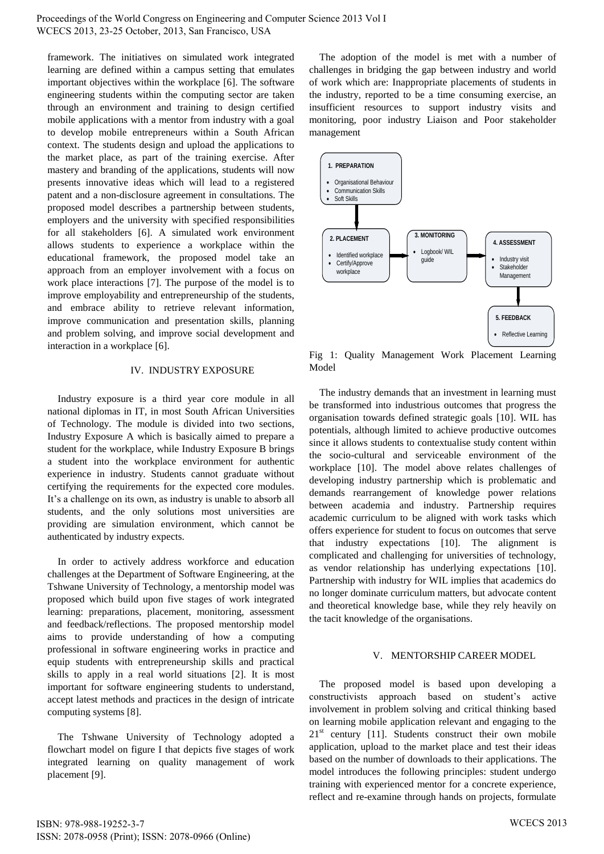Proceedings of the World Congress on Engineering and Computer Science 2013 Vol I WCECS 2013, 23-25 October, 2013, San Francisco, USA

framework. The initiatives on simulated work integrated learning are defined within a campus setting that emulates important objectives within the workplace [6]. The software engineering students within the computing sector are taken through an environment and training to design certified mobile applications with a mentor from industry with a goal to develop mobile entrepreneurs within a South African context. The students design and upload the applications to the market place, as part of the training exercise. After mastery and branding of the applications, students will now presents innovative ideas which will lead to a registered patent and a non-disclosure agreement in consultations. The proposed model describes a partnership between students, employers and the university with specified responsibilities for all stakeholders [6]. A simulated work environment allows students to experience a workplace within the educational framework, the proposed model take an approach from an employer involvement with a focus on work place interactions [7]. The purpose of the model is to improve employability and entrepreneurship of the students, and embrace ability to retrieve relevant information, improve communication and presentation skills, planning and problem solving, and improve social development and interaction in a workplace [6].

#### IV. INDUSTRY EXPOSURE

Industry exposure is a third year core module in all national diplomas in IT, in most South African Universities of Technology. The module is divided into two sections, Industry Exposure A which is basically aimed to prepare a student for the workplace, while Industry Exposure B brings a student into the workplace environment for authentic experience in industry. Students cannot graduate without certifying the requirements for the expected core modules. It's a challenge on its own, as industry is unable to absorb all students, and the only solutions most universities are providing are simulation environment, which cannot be authenticated by industry expects.

In order to actively address workforce and education challenges at the Department of Software Engineering, at the Tshwane University of Technology, a mentorship model was proposed which build upon five stages of work integrated learning: preparations, placement, monitoring, assessment and feedback/reflections. The proposed mentorship model aims to provide understanding of how a computing professional in software engineering works in practice and equip students with entrepreneurship skills and practical skills to apply in a real world situations [2]. It is most important for software engineering students to understand, accept latest methods and practices in the design of intricate computing systems [8].

The Tshwane University of Technology adopted a flowchart model on figure I that depicts five stages of work integrated learning on quality management of work placement [9].

The adoption of the model is met with a number of challenges in bridging the gap between industry and world of work which are: Inappropriate placements of students in the industry, reported to be a time consuming exercise, an insufficient resources to support industry visits and monitoring, poor industry Liaison and Poor stakeholder management



Fig 1: Quality Management Work Placement Learning Model

The industry demands that an investment in learning must be transformed into industrious outcomes that progress the organisation towards defined strategic goals [10]. WIL has potentials, although limited to achieve productive outcomes since it allows students to contextualise study content within the socio-cultural and serviceable environment of the workplace [10]. The model above relates challenges of developing industry partnership which is problematic and demands rearrangement of knowledge power relations between academia and industry. Partnership requires academic curriculum to be aligned with work tasks which offers experience for student to focus on outcomes that serve that industry expectations [10]. The alignment is complicated and challenging for universities of technology, as vendor relationship has underlying expectations [10]. Partnership with industry for WIL implies that academics do no longer dominate curriculum matters, but advocate content and theoretical knowledge base, while they rely heavily on the tacit knowledge of the organisations.

## V. MENTORSHIP CAREER MODEL

The proposed model is based upon developing a constructivists approach based on student's active involvement in problem solving and critical thinking based on learning mobile application relevant and engaging to the  $21<sup>st</sup>$  century [11]. Students construct their own mobile application, upload to the market place and test their ideas based on the number of downloads to their applications. The model introduces the following principles: student undergo training with experienced mentor for a concrete experience, reflect and re-examine through hands on projects, formulate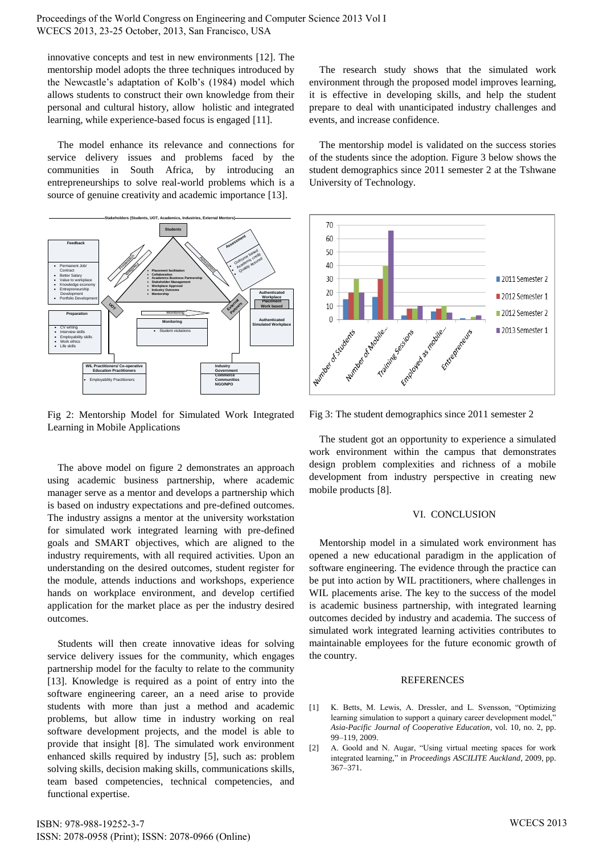Proceedings of the World Congress on Engineering and Computer Science 2013 Vol I WCECS 2013, 23-25 October, 2013, San Francisco, USA

innovative concepts and test in new environments [12]. The mentorship model adopts the three techniques introduced by the Newcastle's adaptation of Kolb's (1984) model which allows students to construct their own knowledge from their personal and cultural history, allow holistic and integrated learning, while experience-based focus is engaged [11].

The model enhance its relevance and connections for service delivery issues and problems faced by the communities in South Africa, by introducing an entrepreneurships to solve real-world problems which is a source of genuine creativity and academic importance [13].



Fig 2: Mentorship Model for Simulated Work Integrated Learning in Mobile Applications

The above model on figure 2 demonstrates an approach using academic business partnership, where academic manager serve as a mentor and develops a partnership which is based on industry expectations and pre-defined outcomes. The industry assigns a mentor at the university workstation for simulated work integrated learning with pre-defined goals and SMART objectives, which are aligned to the industry requirements, with all required activities. Upon an understanding on the desired outcomes, student register for the module, attends inductions and workshops, experience hands on workplace environment, and develop certified application for the market place as per the industry desired outcomes.

Students will then create innovative ideas for solving service delivery issues for the community, which engages partnership model for the faculty to relate to the community [13]. Knowledge is required as a point of entry into the software engineering career, an a need arise to provide students with more than just a method and academic problems, but allow time in industry working on real software development projects, and the model is able to provide that insight [8]. The simulated work environment enhanced skills required by industry [5], such as: problem solving skills, decision making skills, communications skills, team based competencies, technical competencies, and functional expertise.

ISBN: 978-988-19252-3-7 ISSN: 2078-0958 (Print); ISSN: 2078-0966 (Online)

The research study shows that the simulated work environment through the proposed model improves learning, it is effective in developing skills, and help the student prepare to deal with unanticipated industry challenges and events, and increase confidence.

The mentorship model is validated on the success stories of the students since the adoption. Figure 3 below shows the student demographics since 2011 semester 2 at the Tshwane University of Technology.



Fig 3: The student demographics since 2011 semester 2

The student got an opportunity to experience a simulated work environment within the campus that demonstrates design problem complexities and richness of a mobile development from industry perspective in creating new mobile products [8].

## VI. CONCLUSION

Mentorship model in a simulated work environment has opened a new educational paradigm in the application of software engineering. The evidence through the practice can be put into action by WIL practitioners, where challenges in WIL placements arise. The key to the success of the model is academic business partnership, with integrated learning outcomes decided by industry and academia. The success of simulated work integrated learning activities contributes to maintainable employees for the future economic growth of the country.

## **REFERENCES**

- [1] K. Betts, M. Lewis, A. Dressler, and L. Svensson, "Optimizing learning simulation to support a quinary career development model, *Asia-Pacific Journal of Cooperative Education*, vol. 10, no. 2, pp. 99–119, 2009.
- [2] A. Goold and N. Augar, "Using virtual meeting spaces for work integrated learning," in *Proceedings ASCILITE Auckland*, 2009, pp. 367–371.